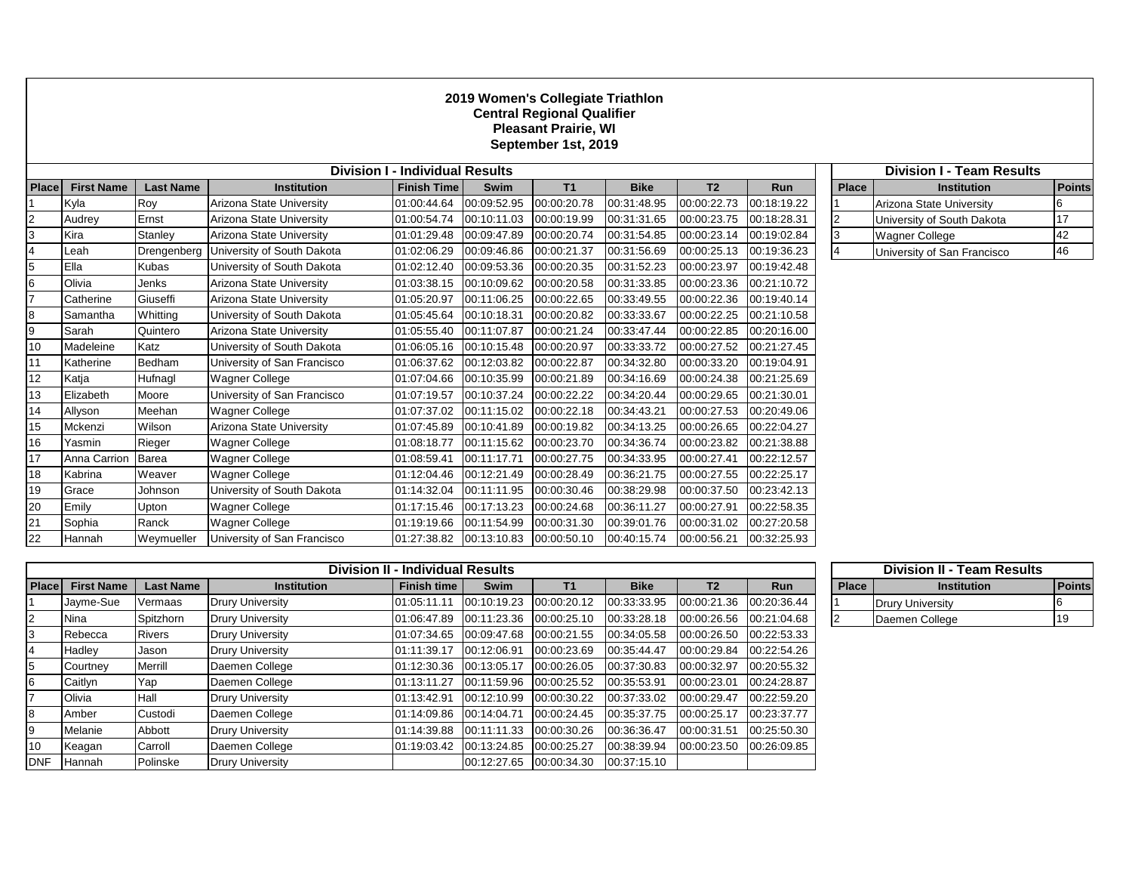## **2019 Women's Collegiate Triathlon Central Regional Qualifier Pleasant Prairie, WI September 1st, 2019**

| <b>Division I - Individual Results</b> |                    |                  |                             |                                       |             |             |             |                |             | <b>Division I - Team Results</b> |                             |               |
|----------------------------------------|--------------------|------------------|-----------------------------|---------------------------------------|-------------|-------------|-------------|----------------|-------------|----------------------------------|-----------------------------|---------------|
| Place                                  | <b>First Name</b>  | <b>Last Name</b> | <b>Institution</b>          | <b>Finish Time</b>                    | Swim        | T1          | <b>Bike</b> | T <sub>2</sub> | <b>Run</b>  | <b>Place</b>                     | <b>Institution</b>          | <b>Points</b> |
|                                        | Kyla               | Roy              | Arizona State University    | 01:00:44.64                           | 00:09:52.95 | 00:00:20.78 | 00:31:48.95 | 00:00:22.73    | 00:18:19.22 |                                  | Arizona State University    |               |
| $\overline{2}$                         | Audrey             | Ernst            | Arizona State University    | 01:00:54.74                           | 00:10:11.03 | 00:00:19.99 | 00:31:31.65 | 00:00:23.75    | 00:18:28.31 |                                  | University of South Dakota  | 17            |
|                                        | Kira               | Stanley          | Arizona State University    | 01:01:29.48                           | 00:09:47.89 | 00:00:20.74 | 00:31:54.85 | 00:00:23.14    | 00:19:02.84 |                                  | <b>Wagner College</b>       | 42            |
|                                        | Leah               | Drengenberg      | University of South Dakota  | 01:02:06.29                           | 00:09:46.86 | 00:00:21.37 | 00:31:56.69 | 00:00:25.13    | 00:19:36.23 |                                  | University of San Francisco | 46            |
| 5                                      | Ella               | <b>Kubas</b>     | University of South Dakota  | 01:02:12.40                           | 00:09:53.36 | 00:00:20.35 | 00:31:52.23 | 00:00:23.97    | 00:19:42.48 |                                  |                             |               |
| 6                                      | Olivia             | Jenks            | Arizona State University    | 01:03:38.15                           | 00:10:09.62 | 00:00:20.58 | 00:31:33.85 | 00:00:23.36    | 00:21:10.72 |                                  |                             |               |
|                                        | Catherine          | Giuseffi         | Arizona State University    | 01:05:20.97                           | 00:11:06.25 | 00:00:22.65 | 00:33:49.55 | 00:00:22.36    | 00:19:40.14 |                                  |                             |               |
| 8                                      | Samantha           | Whitting         | University of South Dakota  | 01:05:45.64                           | 00:10:18.31 | 00:00:20.82 | 00:33:33.67 | 00:00:22.25    | 00:21:10.58 |                                  |                             |               |
| 9                                      | Sarah              | Quintero         | Arizona State University    | 01:05:55.40                           | 00:11:07.87 | 00:00:21.24 | 00:33:47.44 | 00:00:22.85    | 00:20:16.00 |                                  |                             |               |
| 10                                     | Madeleine          | Katz             | University of South Dakota  | 01:06:05.16                           | 00:10:15.48 | 00:00:20.97 | 00:33:33.72 | 00:00:27.52    | 00:21:27.45 |                                  |                             |               |
|                                        | Katherine          | Bedham           | University of San Francisco | 01:06:37.62                           | 00:12:03.82 | 00:00:22.87 | 00:34:32.80 | 00:00:33.20    | 00:19:04.91 |                                  |                             |               |
| 12 <sup>2</sup>                        | Katja              | Hufnagl          | <b>Wagner College</b>       | 01:07:04.66                           | 00:10:35.99 | 00:00:21.89 | 00:34:16.69 | 00:00:24.38    | 00:21:25.69 |                                  |                             |               |
| 13                                     | Elizabeth          | Moore            | University of San Francisco | 01:07:19.57                           | 00:10:37.24 | 00:00:22.22 | 00:34:20.44 | 00:00:29.65    | 00:21:30.01 |                                  |                             |               |
| 14                                     | Allyson            | Meehan           | <b>Wagner College</b>       | 01:07:37.02                           | 00:11:15.02 | 00:00:22.18 | 00:34:43.21 | 00:00:27.53    | 00:20:49.06 |                                  |                             |               |
| 15                                     | Mckenzi            | Wilson           | Arizona State University    | 01:07:45.89                           | 00:10:41.89 | 00:00:19.82 | 00:34:13.25 | 00:00:26.65    | 00:22:04.27 |                                  |                             |               |
| 16                                     | Yasmin             | Rieger           | Wagner College              | 01:08:18.77                           | 00:11:15.62 | 00:00:23.70 | 00:34:36.74 | 00:00:23.82    | 00:21:38.88 |                                  |                             |               |
| 17                                     | Anna Carrion Barea |                  | Wagner College              | 01:08:59.41                           | 00:11:17.71 | 00:00:27.75 | 00:34:33.95 | 00:00:27.41    | 00:22:12.57 |                                  |                             |               |
| 18                                     | Kabrina            | Weaver           | Wagner College              | 01:12:04.46                           | 00:12:21.49 | 00:00:28.49 | 00:36:21.75 | 00:00:27.55    | 00:22:25.17 |                                  |                             |               |
| 19                                     | Grace              | Johnson          | University of South Dakota  | 01:14:32.04                           | 00:11:11.95 | 00:00:30.46 | 00:38:29.98 | 00:00:37.50    | 00:23:42.13 |                                  |                             |               |
| 20                                     | Emily              | Upton            | <b>Wagner College</b>       | 01:17:15.46                           | 00:17:13.23 | 00:00:24.68 | 00:36:11.27 | 00:00:27.91    | 00:22:58.35 |                                  |                             |               |
| 21                                     | Sophia             | Ranck            | Wagner College              | 01:19:19.66                           | 00:11:54.99 | 00:00:31.30 | 00:39:01.76 | 00:00:31.02    | 00:27:20.58 |                                  |                             |               |
| 22                                     | Hannah             | Weymueller       | University of San Francisco | 01:27:38.82  00:13:10.83  00:00:50.10 |             |             | 00:40:15.74 | 00:00:56.21    | 00:32:25.93 |                                  |                             |               |

|              | <b>Division I - Team Results</b> |               |  |  |  |  |  |  |  |  |
|--------------|----------------------------------|---------------|--|--|--|--|--|--|--|--|
| <b>Place</b> | <b>Institution</b>               | <b>Points</b> |  |  |  |  |  |  |  |  |
|              | Arizona State University         |               |  |  |  |  |  |  |  |  |
| 2            | University of South Dakota       | 17            |  |  |  |  |  |  |  |  |
| 3            | <b>Wagner College</b>            | 42            |  |  |  |  |  |  |  |  |
| 4            | University of San Francisco      | 46            |  |  |  |  |  |  |  |  |

| <b>Division II - Individual Results</b> |                   |                  |                         |             |                          |             |             |                |             | <b>Division II - Team Results</b> |                         |        |
|-----------------------------------------|-------------------|------------------|-------------------------|-------------|--------------------------|-------------|-------------|----------------|-------------|-----------------------------------|-------------------------|--------|
| <b>Place</b>                            | <b>First Name</b> | <b>Last Name</b> | <b>Institution</b>      | Finish time | <b>Swim</b>              | <b>T1</b>   | <b>Bike</b> | T <sub>2</sub> | <b>Run</b>  | <b>Place</b>                      | <b>Institution</b>      | Points |
|                                         | Jayme-Sue         | Vermaas          | <b>Drury University</b> | 01:05:11.11 | 00:10:19.23              | 00:00:20.12 | 00:33:33.95 | 00:00:21.36    | 00:20:36.44 |                                   | <b>Drury University</b> |        |
| 12                                      | Nina              | Spitzhorn        | <b>Drury University</b> | 01:06:47.89 | 00:11:23.36 00:00:25.10  |             | 00:33:28.18 | 00:00:26.56    | 00:21:04.68 |                                   | Daemen College          | 19     |
| 13                                      | Rebecca           | Rivers           | <b>Drury University</b> | 01:07:34.65 | 00:09:47.68              | 00:00:21.55 | 00:34:05.58 | 00:00:26.50    | 00:22:53.33 |                                   |                         |        |
|                                         | Hadley            | Jason            | <b>Drury University</b> | 01:11:39.17 | 00:12:06.91              | 00:00:23.69 | 00:35:44.47 | 00:00:29.84    | 00:22:54.26 |                                   |                         |        |
| 5                                       | Courtney          | Merrill          | Daemen College          | 01:12:30.36 | 00:13:05.17              | 00:00:26.05 | 00:37:30.83 | 00:00:32.97    | 00:20:55.32 |                                   |                         |        |
| 16                                      | Caitlyn           | Yap              | Daemen College          | 01:13:11.27 | 00:11:59.96  00:00:25.52 |             | 00:35:53.91 | 00:00:23.01    | 00:24:28.87 |                                   |                         |        |
|                                         | Olivia            | Hall             | <b>Drury University</b> | 01:13:42.91 | 00:12:10.99              | 00:00:30.22 | 00:37:33.02 | 00:00:29.47    | 00:22:59.20 |                                   |                         |        |
| 18                                      | Amber             | Custodi          | Daemen College          | 01:14:09.86 | 00:14:04.71              | 00:00:24.45 | 00:35:37.75 | 00:00:25.17    | 00:23:37.77 |                                   |                         |        |
| 19                                      | Melanie           | Abbott           | <b>Drury University</b> | 01:14:39.88 | 00:11:11.33              | 00:00:30.26 | 00:36:36.47 | 00:00:31.51    | 00:25:50.30 |                                   |                         |        |
| 10                                      | Keagan            | Carroll          | Daemen College          | 01:19:03.42 | 00:13:24.85              | 00:00:25.27 | 00:38:39.94 | 00:00:23.50    | 00:26:09.85 |                                   |                         |        |
| <b>IDNF</b>                             | <b>Hannah</b>     | Polinske         | <b>Drury University</b> |             | 00:12:27.65              | 00:00:34.30 | 00:37:15.10 |                |             |                                   |                         |        |

|              | <b>Division II - Team Results</b> |    |  |  |  |  |  |  |  |
|--------------|-----------------------------------|----|--|--|--|--|--|--|--|
| <b>Place</b> | <b>Institution</b>                |    |  |  |  |  |  |  |  |
|              | <b>Drury University</b>           |    |  |  |  |  |  |  |  |
|              | Daemen College                    | 19 |  |  |  |  |  |  |  |